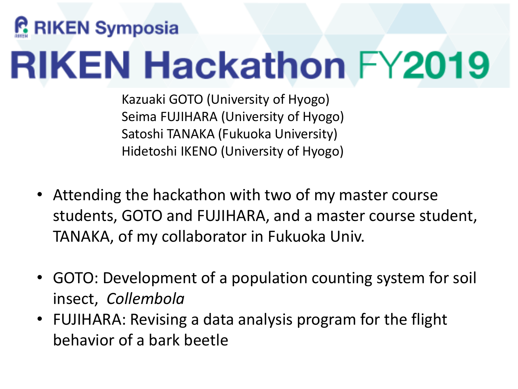# **RIKEN Symposia RIKEN Hackathon FY2019**

Kazuaki GOTO (University of Hyogo) Seima FUJIHARA (University of Hyogo) Satoshi TANAKA (Fukuoka University) Hidetoshi IKENO (University of Hyogo)

- Attending the hackathon with two of my master course students, GOTO and FUJIHARA, and a master course student, TANAKA, of my collaborator in Fukuoka Univ.
- GOTO: Development of a population counting system for soil insect, *Collembola*
- FUJIHARA: Revising a data analysis program for the flight behavior of a bark beetle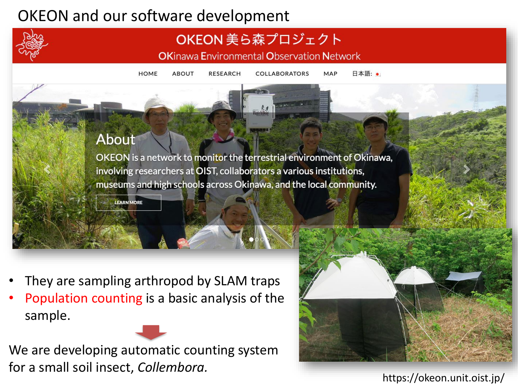# OKEON and our software development



## OKEON 美ら森プロジェクト

**OKinawa Environmental Observation Network** 

日本語: • **HOME ABOUT RESEARCH COLLABORATORS** MAP

#### **About**

OKEON is a network to monitor the terrestrial environment of Okinawa, involving researchers at OIST, collaborators a various institutions, museums and high schools across Okinawa, and the local community.

**LEARN MORE** 

- They are sampling arthropod by SLAM traps
- Population counting is a basic analysis of the sample.

We are developing automatic counting system for a small soil insect, *Collembora.*



https://okeon.unit.oist.jp/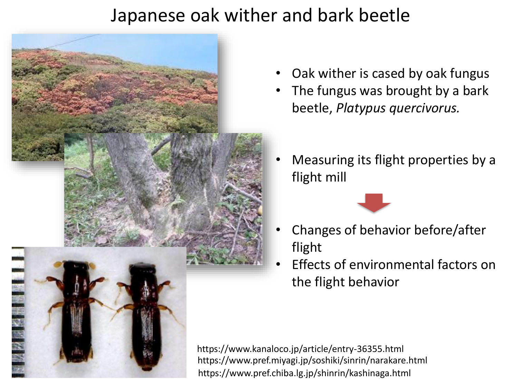# Japanese oak wither and bark beetle



- Oak wither is cased by oak fungus
- The fungus was brought by a bark beetle, *Platypus quercivorus.*
- Measuring its flight properties by a flight mill



- Changes of behavior before/after flight
- Effects of environmental factors on the flight behavior

https://www.kanaloco.jp/article/entry-36355.html https://www.pref.miyagi.jp/soshiki/sinrin/narakare.html https://www.pref.chiba.lg.jp/shinrin/kashinaga.html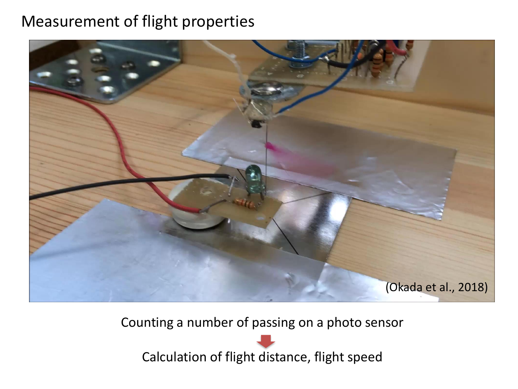### Measurement of flight properties



Counting a number of passing on a photo sensor

Calculation of flight distance, flight speed